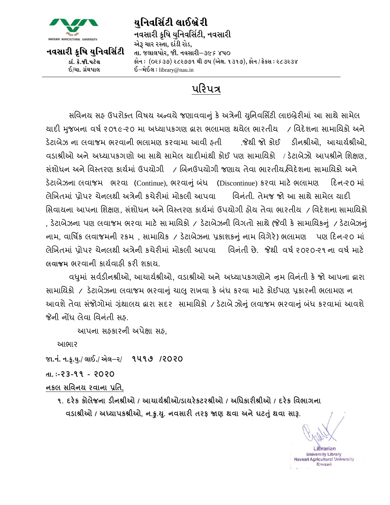

યનિવર્સિટી લાઈબ્રે**રી** નવસારી ક્રષિ યુનિવર્સિટી, નવસારી એરૂ ચાર રસ્તા, દાંડી રોડ, તા. જલાલપોર, જી. નવસારી–૩૯*૬* ૪૫૦ ફોન : (૦૨૬૩૭) ૨૮૨૭૭૧ થી ૭૫ (એક્ષ. ૧૩૧૭), ફોન / ફેક્સ : ૨૮૩૨૩૪  $\Sigma$ –મેઈલ: library@nau.in

## પરિપત્ર

સવિનય સફ ઉપરોક્ત વિષય અન્વયે જણાવવાનું કે અત્રેની યુનિવર્સિટી લાઇબ્રેરીમાં આ સાથે સામેલ યાદી મુજબના વર્ષ ૨૦૧૯-૨૦ મા અધ્યાપકગણ દ્વારા ભલામણ થયેલ ભારતીય / વિદેશના સામાયિકો અને ડેટાબેઝ ના િાજમ ભરિાની ભામણ કરિામા આિી હતી .જેથી જો કોઈ ડીનશ્રીઓ**,** આચાયષશ્રીઓ**,** વડાશ્રીઓ અને અધ્યાપકગણો આ સાથે સામેલ યાદીમાંથી કોઈ પણ સામાયિકો / ડેટાબેઝો આપશ્રીને શિક્ષણ, સંશોધન અને વિસ્તરણ કાર્યમાં ઉપયોગી \_ / બિનઉપયોગી જણાય તેવા ભારતીય વિદેશના સામાયિકો અને ડેટાબેઝના લવાજમ ભરવા (Continue), ભરવાનું બંધ (Discontinue) કરવા માટે ભલામણ દિન-૨૦ માં ેબિતમાું પ્રોર ચેનથી અત્રેની કચેરીમાું મોકી આિા વિનુંતી. તેમજ જો આ સાથેસામે યાદી સિવાયના આપના શિક્ષણ, સંશોધન અને વિસ્તરણ કાર્યમાં ઉપયોગી હોય તેવા ભારતીય / વિદેશના સામાયિકો , ડેટાબેઝના પણ લવાજમ ભરવા માટે સા માયિકો / ડેટાબેઝની વિગતો સાથે (જેવી કે સામાયિકનું / ડેટાબેઝનું નામ, વાર્ષિક લવાજમની રકમ , સામાયિક / ડેટાબેઝના પ્રકાશકનું નામ વિગેરે) ભલામણ પણ દિન-૨૦ માં લેખિતમાં પ્રોપર ચેનલથી અત્રેની કચેરીમાં મોકલી આપવા વિનંતી છે. જેથી વર્ષ ૨૦૨૦-૨૧ ના વર્ષ માટે **વાજમ** ભરિાની કાયષિાહી કરી શકાય.

િધમુ ાું સિષડીનશ્રીઓ**,** આચાયષશ્રીઓ**,** િડાશ્રીઓ અનેઅધ્યાકગણોનેન્રમ વિનુંતી કે જો આના દ્વારા સામાયિકો / ડેટાબેઝના લવાજમ ભરવાનું ચાલુ રાખવા કે બંધ કરવા માટે કોઈપણ પ્રકારની ભલામણ ન આવશે તેવા સંજોગોમાં ગ્રંથાલય દ્વારા સદર સામાયિકો / ડેટાબેઝોનું લવાજમ ભરવાનું બંધ કરવામાં આવશે જેની નોંધ લેવા વિનંતી સહ.

આપના સઠકારની અપેક્ષા સહ,

આભાર

HFPG\P GPS'PI]Pq ,F.Pq V[,vZq **૧૫૧૭ /૨૦૨૦**

TFP o**-૨૩-૧૧ - ૨૦૨૦**

**નક સવવનય રવાના પ્રવિ,**

**૧. દરેક કોેજના ડીનશ્રીઓ / આચાયયશ્રીઓ/ડાયરેકટરશ્રીઓ / અવધકારીશ્રીઓ / દરેક વવભાગના વડાશ્રીઓ / અધ્યાકશ્રીઓ, ન.ક્રુ.ય. ુ નવસારી િરપ જાણ થવા અનેઘટતુંુથવા સારૂ.** 

l ibrarian **University Library** Navsari Agricultural University

**Navsari**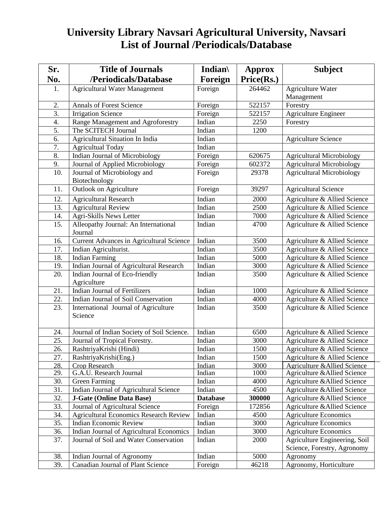## **University Library Navsari Agricultural University, Navsari List of Journal /Periodicals/Database**

| Sr.        | <b>Title of Journals</b>                                                    | Indian $\langle$ | Approx     | <b>Subject</b>                                               |
|------------|-----------------------------------------------------------------------------|------------------|------------|--------------------------------------------------------------|
| No.        | /Periodicals/Database                                                       | Foreign          | Price(Rs.) |                                                              |
| 1.         | <b>Agricultural Water Management</b>                                        | Foreign          | 264462     | <b>Agriculture Water</b>                                     |
|            |                                                                             |                  |            | Management                                                   |
| 2.         | <b>Annals of Forest Science</b>                                             | Foreign          | 522157     | Forestry                                                     |
| 3.         | <b>Irrigation Science</b>                                                   | Foreign          | 522157     | <b>Agriculture Engineer</b>                                  |
| 4.         | Range Management and Agroforestry                                           | Indian           | 2250       | Forestry                                                     |
| 5.         | The SCITECH Journal                                                         | Indian           | 1200       |                                                              |
| 6.         | <b>Agricultural Situation In India</b>                                      | Indian           |            | <b>Agriculture Science</b>                                   |
| 7.         | <b>Agricultual Today</b>                                                    | Indian           |            |                                                              |
| 8.         | Indian Journal of Microbiology                                              | Foreign          | 620675     | <b>Agricultural Microbiology</b>                             |
| 9.         | Journal of Applied Microbiology                                             | Foreign          | 602372     | <b>Agricultural Microbiology</b>                             |
| 10.        | Journal of Microbiology and                                                 | Foreign          | 29378      | <b>Agricultural Microbiology</b>                             |
|            | Biotechnology                                                               |                  |            |                                                              |
| 11.        | Outlook on Agriculture                                                      | Foreign          | 39297      | <b>Agricultural Science</b>                                  |
| 12.        | <b>Agricultural Research</b>                                                | Indian           | 2000       | Agriculture & Allied Science                                 |
| 13.        | <b>Agricultural Review</b>                                                  | Indian           | 2500       | Agriculture & Allied Science                                 |
| 14.        | Agri-Skills News Letter                                                     | Indian           | 7000       | Agriculture & Allied Science                                 |
| 15.        | Alleopathy Journal: An International                                        | Indian           | 4700       | Agriculture & Allied Science                                 |
|            | Journal                                                                     |                  |            |                                                              |
| 16.        | Current Advances in Agricultural Science                                    | Indian           | 3500       | Agriculture & Allied Science                                 |
| 17.        | Indian Agriculturist.                                                       | Indian           | 3500       | Agriculture & Allied Science                                 |
| 18.        | <b>Indian Farming</b>                                                       | Indian           | 5000       | Agriculture & Allied Science                                 |
| 19.        | Indian Journal of Agricultural Research                                     | Indian           | 3000       | Agriculture & Allied Science                                 |
| 20.        | Indian Journal of Eco-friendly                                              | Indian           | 3500       | Agriculture & Allied Science                                 |
|            | Agriculture                                                                 |                  |            |                                                              |
| 21.        | <b>Indian Journal of Fertilizers</b>                                        | Indian           | 1000       | Agriculture & Allied Science                                 |
| 22.        | Indian Journal of Soil Conservation                                         | Indian           | 4000       | Agriculture & Allied Science                                 |
| 23.        | International Journal of Agriculture                                        | Indian           | 3500       | Agriculture & Allied Science                                 |
|            | Science                                                                     |                  |            |                                                              |
|            |                                                                             | Indian           | 6500       |                                                              |
| 24.<br>25. | Journal of Indian Society of Soil Science.<br>Journal of Tropical Forestry. | Indian           | 3000       | Agriculture & Allied Science<br>Agriculture & Allied Science |
| 26.        | RashtriyaKrishi (Hindi)                                                     | Indian           | 1500       | Agriculture & Allied Science                                 |
| 27.        | RashtriyaKrishi(Eng.)                                                       | Indian           | 1500       | Agriculture & Allied Science                                 |
| 28.        | <b>Crop Research</b>                                                        | Indian           | 3000       | <b>Agriculture &amp;Allied Science</b>                       |
| 29.        | G.A.U. Research Journal                                                     | Indian           | 1000       | Agriculture & Allied Science                                 |
| 30.        | Green Farming                                                               | Indian           | 4000       | Agriculture & Allied Science                                 |
| 31.        | Indian Journal of Agricultural Science                                      | Indian           | 4500       | Agriculture & Allied Science                                 |
| 32.        | <b>J-Gate (Online Data Base)</b>                                            | <b>Database</b>  | 300000     | Agriculture & Allied Science                                 |
| 33.        | Journal of Agricultural Science                                             | Foreign          | 172856     | Agriculture & Allied Science                                 |
| 34.        | <b>Agricultural Economics Research Review</b>                               | Indian           | 4500       | <b>Agriculture Economics</b>                                 |
| 35.        | <b>Indian Economic Review</b>                                               | Indian           | 3000       | <b>Agriculture Economics</b>                                 |
| 36.        | Indian Journal of Agricultural Economics                                    | Indian           | 3000       | <b>Agriculture Economics</b>                                 |
| 37.        | Journal of Soil and Water Conservation                                      | Indian           | 2000       | Agriculture Engineering, Soil                                |
|            |                                                                             |                  |            | Science, Forestry, Agronomy                                  |
| 38.        | Indian Journal of Agronomy                                                  | Indian           | 5000       | Agronomy                                                     |
| 39.        | <b>Canadian Journal of Plant Science</b>                                    | Foreign          | 46218      | Agronomy, Horticulture                                       |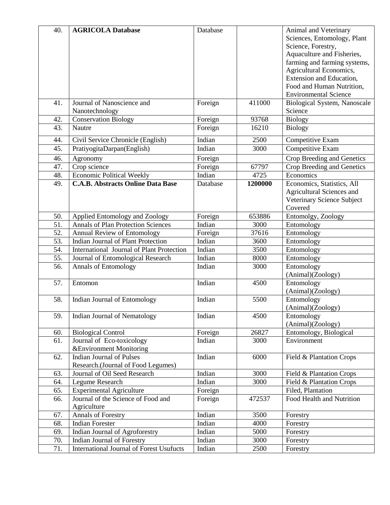| 40. | <b>AGRICOLA Database</b>                        | Database |         | Animal and Veterinary        |
|-----|-------------------------------------------------|----------|---------|------------------------------|
|     |                                                 |          |         | Sciences, Entomology, Plant  |
|     |                                                 |          |         | Science, Forestry,           |
|     |                                                 |          |         | Aquaculture and Fisheries,   |
|     |                                                 |          |         | farming and farming systems, |
|     |                                                 |          |         | Agricultural Economics,      |
|     |                                                 |          |         | Extension and Education,     |
|     |                                                 |          |         | Food and Human Nutrition,    |
|     |                                                 |          |         | <b>Environmental Science</b> |
| 41. | Journal of Nanoscience and                      | Foreign  | 411000  | Biological System, Nanoscale |
|     | Nanotechnology                                  |          |         | Science                      |
| 42. | <b>Conservation Biology</b>                     | Foreign  | 93768   | <b>Biology</b>               |
| 43. | Nautre                                          |          | 16210   | <b>Biology</b>               |
|     |                                                 | Foreign  |         |                              |
| 44. | Civil Service Chronicle (English)               | Indian   | 2500    | Competitive Exam             |
| 45. | PratiyogitaDarpan(English)                      | Indian   | 3000    | Competitive Exam             |
| 46. | Agronomy                                        | Foreign  |         | Crop Breeding and Genetics   |
| 47. | Crop science                                    | Foreign  | 67797   | Crop Breeding and Genetics   |
| 48. | <b>Economic Political Weekly</b>                | Indian   | 4725    | Economics                    |
| 49. | <b>C.A.B. Abstracts Online Data Base</b>        | Database | 1200000 | Economics, Statistics, All   |
|     |                                                 |          |         | Agricultural Sciences and    |
|     |                                                 |          |         | Veterinary Science Subject   |
|     |                                                 |          |         | Covered                      |
| 50. | Applied Entomology and Zoology                  | Foreign  | 653886  | Entomolgy, Zoology           |
| 51. | <b>Annals of Plan Protection Sciences</b>       | Indian   | 3000    | Entomology                   |
| 52. | Annual Review of Entomology                     | Foreign  | 37616   | Entomology                   |
| 53. | Indian Journal of Plant Protection              | Indian   | 3600    | Entomology                   |
| 54. | International Journal of Plant Protection       | Indian   | 3500    | Entomology                   |
| 55. | Journal of Entomological Research               | Indian   | 8000    | Entomology                   |
| 56. | <b>Annals of Entomology</b>                     | Indian   | 3000    | Entomology                   |
|     |                                                 |          |         | (Animal)(Zoology)            |
| 57. | Entomon                                         | Indian   | 4500    | Entomology                   |
|     |                                                 |          |         | (Animal)(Zoology)            |
| 58. | Indian Journal of Entomology                    | Indian   | 5500    | Entomology                   |
|     |                                                 |          |         | (Animal)(Zoology)            |
| 59. | Indian Journal of Nematology                    | Indian   | 4500    | Entomology                   |
|     |                                                 |          |         | (Animal)(Zoology)            |
| 60. | <b>Biological Control</b>                       | Foreign  | 26827   | Entomology, Biological       |
| 61. | Journal of Eco-toxicology                       | Indian   | 3000    | Environment                  |
|     | &Environment Monitoring                         |          |         |                              |
| 62. | <b>Indian Journal of Pulses</b>                 | Indian   | 6000    | Field & Plantation Crops     |
|     | Research.(Journal of Food Legumes)              |          |         |                              |
| 63. | Journal of Oil Seed Research                    | Indian   | 3000    | Field & Plantation Crops     |
| 64. | Legume Research                                 | Indian   | 3000    | Field & Plantation Crops     |
| 65. | <b>Experimental Agriculture</b>                 | Foreign  |         | Filed, Plantation            |
| 66. | Journal of the Science of Food and              | Foreign  | 472537  | Food Health and Nutrition    |
|     | Agriculture                                     |          |         |                              |
| 67. | <b>Annals of Forestry</b>                       | Indian   | 3500    | Forestry                     |
| 68. | <b>Indian Forester</b>                          | Indian   | 4000    | Forestry                     |
| 69. | Indian Journal of Agroforestry                  | Indian   | 5000    | Forestry                     |
| 70. | Indian Journal of Forestry                      | Indian   | 3000    | Forestry                     |
| 71. | <b>International Journal of Forest Usufucts</b> | Indian   | 2500    | Forestry                     |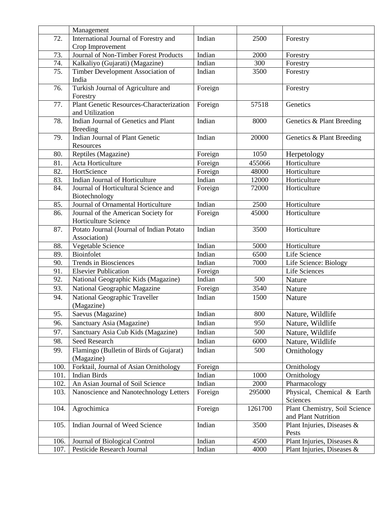|              | Management                                                                 |                   |         |                                            |
|--------------|----------------------------------------------------------------------------|-------------------|---------|--------------------------------------------|
| 72.          | International Journal of Forestry and                                      | Indian            | 2500    | Forestry                                   |
|              | Crop Improvement                                                           |                   |         |                                            |
| 73.          | Journal of Non-Timber Forest Products                                      | Indian            | 2000    | Forestry                                   |
| 74.          | Kalkaliyo (Gujarati) (Magazine)                                            | Indian            | 300     | Forestry                                   |
| 75.          | Timber Development Association of                                          | Indian            | 3500    | Forestry                                   |
|              | India                                                                      |                   |         |                                            |
| 76.          | Turkish Journal of Agriculture and                                         | Foreign           |         | Forestry                                   |
|              | Forestry                                                                   |                   |         |                                            |
| 77.          | <b>Plant Genetic Resources-Characterization</b>                            | Foreign           | 57518   | Genetics                                   |
|              | and Utilization                                                            |                   |         |                                            |
| 78.          | Indian Journal of Genetics and Plant                                       | Indian            | 8000    | Genetics & Plant Breeding                  |
|              | <b>Breeding</b>                                                            |                   |         |                                            |
| 79.          | <b>Indian Journal of Plant Genetic</b>                                     | Indian            | 20000   | Genetics & Plant Breeding                  |
|              | Resources                                                                  |                   |         |                                            |
| 80.          | Reptiles (Magazine)                                                        | Foreign           | 1050    | Herpetology                                |
| 81.          | Acta Horticulture                                                          | Foreign           | 455066  | Horticulture                               |
| 82.          | HortScience                                                                | Foreign           | 48000   | Horticulture                               |
| 83.          | Indian Journal of Horticulture                                             | Indian            | 12000   | Horticulture                               |
| 84.          | Journal of Horticultural Science and                                       | Foreign           | 72000   | Horticulture                               |
|              | Biotechnology                                                              |                   |         |                                            |
| 85.          | Journal of Ornamental Horticulture                                         | Indian            | 2500    | Horticulture                               |
| 86.          | Journal of the American Society for                                        | Foreign           | 45000   | Horticulture                               |
|              | Horticulture Science                                                       |                   |         |                                            |
| 87.          | Potato Journal (Journal of Indian Potato                                   | Indian            | 3500    | Horticulture                               |
|              | Association)                                                               |                   |         |                                            |
| 88.          | Vegetable Science                                                          | Indian            | 5000    | Horticulture                               |
| 89.          | Bioinfolet                                                                 | Indian            | 6500    | Life Science                               |
| 90.          | Trends in Biosciences                                                      | Indian            | 7000    | Life Science: Biology                      |
| 91.          | <b>Elsevier Publication</b>                                                | Foreign           |         | Life Sciences                              |
| 92.          | National Geographic Kids (Magazine)                                        | Indian            | 500     | Nature                                     |
| 93.          | National Geographic Magazine                                               | Foreign           | 3540    | Nature                                     |
| 94.          | National Geographic Traveller                                              | Indian            | 1500    | Nature                                     |
|              | (Magazine)                                                                 |                   |         |                                            |
| 95.          | Saevus (Magazine)                                                          | Indian            | 800     | Nature, Wildlife                           |
| 96.          | Sanctuary Asia (Magazine)                                                  | Indian            | 950     | Nature, Wildlife                           |
| 97.          | Sanctuary Asia Cub Kids (Magazine)                                         | Indian            | 500     | Nature, Wildlife                           |
| 98.          | Seed Research                                                              | Indian            | 6000    | Nature, Wildlife                           |
|              |                                                                            |                   |         |                                            |
| 99.          | Flamingo (Bulletin of Birds of Gujarat)                                    | Indian            | 500     | Ornithology                                |
|              | (Magazine)<br>Forktail, Journal of Asian Ornithology                       |                   |         |                                            |
| 100.<br>101. | <b>Indian Birds</b>                                                        | Foreign<br>Indian | 1000    | Ornithology<br>Ornithology                 |
|              |                                                                            |                   | 2000    |                                            |
| 102.<br>103. | An Asian Journal of Soil Science<br>Nanoscience and Nanotechnology Letters | Indian            | 295000  | Pharmacology<br>Physical, Chemical & Earth |
|              |                                                                            | Foreign           |         | Sciences                                   |
|              | Agrochimica                                                                |                   | 1261700 | Plant Chemistry, Soil Science              |
| 104.         |                                                                            | Foreign           |         | and Plant Nutrition                        |
| 105.         | Indian Journal of Weed Science                                             | Indian            | 3500    |                                            |
|              |                                                                            |                   |         | Plant Injuries, Diseases &<br>Pests        |
| 106.         | Journal of Biological Control                                              | Indian            | 4500    | Plant Injuries, Diseases &                 |
| 107.         | Pesticide Research Journal                                                 | Indian            | 4000    | Plant Injuries, Diseases &                 |
|              |                                                                            |                   |         |                                            |